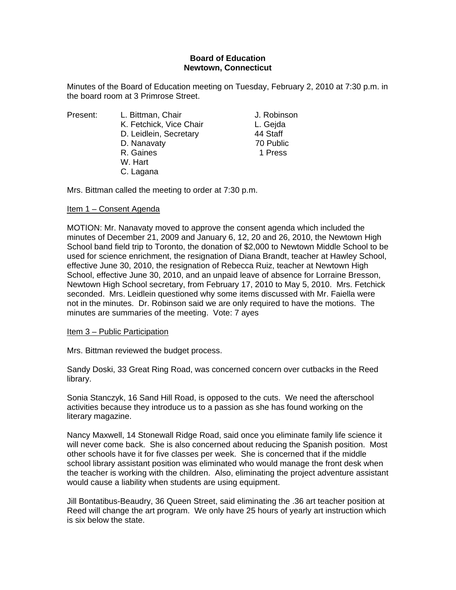### **Board of Education Newtown, Connecticut**

Minutes of the Board of Education meeting on Tuesday, February 2, 2010 at 7:30 p.m. in the board room at 3 Primrose Street.

L. Bittman, Chair **J. Robinson** K. Fetchick, Vice Chair **L. Gejda** D. Leidlein, Secretary 44 Staff D. Nanavaty 70 Public R. Gaines **1 Press**  W. Hart C. Lagana

Mrs. Bittman called the meeting to order at 7:30 p.m.

# Item 1 – Consent Agenda

MOTION: Mr. Nanavaty moved to approve the consent agenda which included the minutes of December 21, 2009 and January 6, 12, 20 and 26, 2010, the Newtown High School band field trip to Toronto, the donation of \$2,000 to Newtown Middle School to be used for science enrichment, the resignation of Diana Brandt, teacher at Hawley School, effective June 30, 2010, the resignation of Rebecca Ruiz, teacher at Newtown High School, effective June 30, 2010, and an unpaid leave of absence for Lorraine Bresson, Newtown High School secretary, from February 17, 2010 to May 5, 2010. Mrs. Fetchick seconded. Mrs. Leidlein questioned why some items discussed with Mr. Faiella were not in the minutes. Dr. Robinson said we are only required to have the motions. The minutes are summaries of the meeting. Vote: 7 ayes

## Item 3 – Public Participation

Mrs. Bittman reviewed the budget process.

Sandy Doski, 33 Great Ring Road, was concerned concern over cutbacks in the Reed library.

Sonia Stanczyk, 16 Sand Hill Road, is opposed to the cuts. We need the afterschool activities because they introduce us to a passion as she has found working on the literary magazine.

Nancy Maxwell, 14 Stonewall Ridge Road, said once you eliminate family life science it will never come back. She is also concerned about reducing the Spanish position. Most other schools have it for five classes per week. She is concerned that if the middle school library assistant position was eliminated who would manage the front desk when the teacher is working with the children. Also, eliminating the project adventure assistant would cause a liability when students are using equipment.

Jill Bontatibus-Beaudry, 36 Queen Street, said eliminating the .36 art teacher position at Reed will change the art program. We only have 25 hours of yearly art instruction which is six below the state.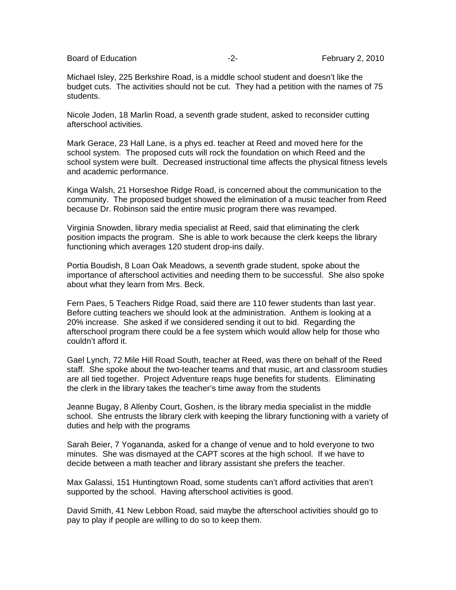Board of Education **-2-** February 2, 2010

Michael Isley, 225 Berkshire Road, is a middle school student and doesn't like the budget cuts. The activities should not be cut. They had a petition with the names of 75 students.

Nicole Joden, 18 Marlin Road, a seventh grade student, asked to reconsider cutting afterschool activities.

Mark Gerace, 23 Hall Lane, is a phys ed. teacher at Reed and moved here for the school system. The proposed cuts will rock the foundation on which Reed and the school system were built. Decreased instructional time affects the physical fitness levels and academic performance.

Kinga Walsh, 21 Horseshoe Ridge Road, is concerned about the communication to the community. The proposed budget showed the elimination of a music teacher from Reed because Dr. Robinson said the entire music program there was revamped.

Virginia Snowden, library media specialist at Reed, said that eliminating the clerk position impacts the program. She is able to work because the clerk keeps the library functioning which averages 120 student drop-ins daily.

Portia Boudish, 8 Loan Oak Meadows, a seventh grade student, spoke about the importance of afterschool activities and needing them to be successful. She also spoke about what they learn from Mrs. Beck.

Fern Paes, 5 Teachers Ridge Road, said there are 110 fewer students than last year. Before cutting teachers we should look at the administration. Anthem is looking at a 20% increase. She asked if we considered sending it out to bid. Regarding the afterschool program there could be a fee system which would allow help for those who couldn't afford it.

Gael Lynch, 72 Mile Hill Road South, teacher at Reed, was there on behalf of the Reed staff. She spoke about the two-teacher teams and that music, art and classroom studies are all tied together. Project Adventure reaps huge benefits for students. Eliminating the clerk in the library takes the teacher's time away from the students

Jeanne Bugay, 8 Allenby Court, Goshen, is the library media specialist in the middle school. She entrusts the library clerk with keeping the library functioning with a variety of duties and help with the programs

Sarah Beier, 7 Yogananda, asked for a change of venue and to hold everyone to two minutes. She was dismayed at the CAPT scores at the high school. If we have to decide between a math teacher and library assistant she prefers the teacher.

Max Galassi, 151 Huntingtown Road, some students can't afford activities that aren't supported by the school. Having afterschool activities is good.

David Smith, 41 New Lebbon Road, said maybe the afterschool activities should go to pay to play if people are willing to do so to keep them.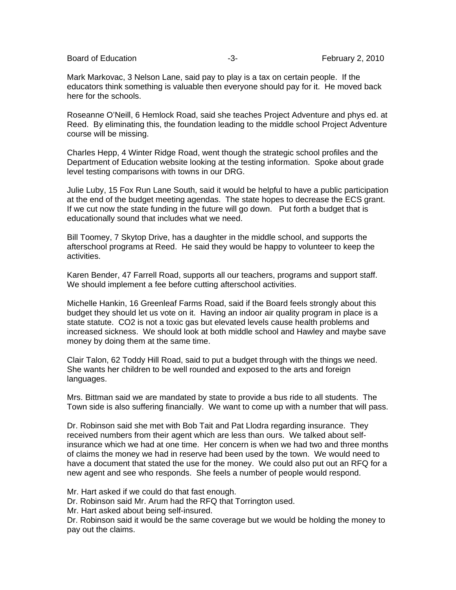Board of Education **-3-** February 2, 2010

Mark Markovac, 3 Nelson Lane, said pay to play is a tax on certain people. If the educators think something is valuable then everyone should pay for it. He moved back here for the schools.

Roseanne O'Neill, 6 Hemlock Road, said she teaches Project Adventure and phys ed. at Reed. By eliminating this, the foundation leading to the middle school Project Adventure course will be missing.

Charles Hepp, 4 Winter Ridge Road, went though the strategic school profiles and the Department of Education website looking at the testing information. Spoke about grade level testing comparisons with towns in our DRG.

Julie Luby, 15 Fox Run Lane South, said it would be helpful to have a public participation at the end of the budget meeting agendas. The state hopes to decrease the ECS grant. If we cut now the state funding in the future will go down. Put forth a budget that is educationally sound that includes what we need.

Bill Toomey, 7 Skytop Drive, has a daughter in the middle school, and supports the afterschool programs at Reed. He said they would be happy to volunteer to keep the activities.

Karen Bender, 47 Farrell Road, supports all our teachers, programs and support staff. We should implement a fee before cutting afterschool activities.

Michelle Hankin, 16 Greenleaf Farms Road, said if the Board feels strongly about this budget they should let us vote on it. Having an indoor air quality program in place is a state statute. CO2 is not a toxic gas but elevated levels cause health problems and increased sickness. We should look at both middle school and Hawley and maybe save money by doing them at the same time.

Clair Talon, 62 Toddy Hill Road, said to put a budget through with the things we need. She wants her children to be well rounded and exposed to the arts and foreign languages.

Mrs. Bittman said we are mandated by state to provide a bus ride to all students. The Town side is also suffering financially. We want to come up with a number that will pass.

Dr. Robinson said she met with Bob Tait and Pat Llodra regarding insurance. They received numbers from their agent which are less than ours. We talked about selfinsurance which we had at one time. Her concern is when we had two and three months of claims the money we had in reserve had been used by the town. We would need to have a document that stated the use for the money. We could also put out an RFQ for a new agent and see who responds. She feels a number of people would respond.

Mr. Hart asked if we could do that fast enough.

Dr. Robinson said Mr. Arum had the RFQ that Torrington used.

Mr. Hart asked about being self-insured.

Dr. Robinson said it would be the same coverage but we would be holding the money to pay out the claims.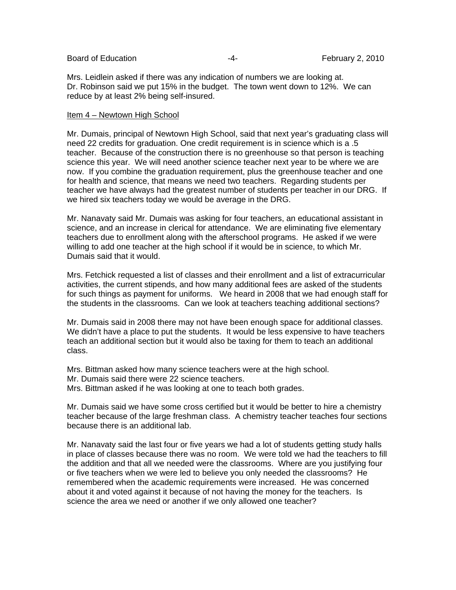Board of Education **Francisco Community** 2, 2010 **February 2**, 2010

Mrs. Leidlein asked if there was any indication of numbers we are looking at. Dr. Robinson said we put 15% in the budget. The town went down to 12%. We can reduce by at least 2% being self-insured.

#### Item 4 – Newtown High School

Mr. Dumais, principal of Newtown High School, said that next year's graduating class will need 22 credits for graduation. One credit requirement is in science which is a .5 teacher. Because of the construction there is no greenhouse so that person is teaching science this year. We will need another science teacher next year to be where we are now. If you combine the graduation requirement, plus the greenhouse teacher and one for health and science, that means we need two teachers. Regarding students per teacher we have always had the greatest number of students per teacher in our DRG. If we hired six teachers today we would be average in the DRG.

Mr. Nanavaty said Mr. Dumais was asking for four teachers, an educational assistant in science, and an increase in clerical for attendance. We are eliminating five elementary teachers due to enrollment along with the afterschool programs. He asked if we were willing to add one teacher at the high school if it would be in science, to which Mr. Dumais said that it would.

Mrs. Fetchick requested a list of classes and their enrollment and a list of extracurricular activities, the current stipends, and how many additional fees are asked of the students for such things as payment for uniforms. We heard in 2008 that we had enough staff for the students in the classrooms. Can we look at teachers teaching additional sections?

Mr. Dumais said in 2008 there may not have been enough space for additional classes. We didn't have a place to put the students. It would be less expensive to have teachers teach an additional section but it would also be taxing for them to teach an additional class.

Mrs. Bittman asked how many science teachers were at the high school. Mr. Dumais said there were 22 science teachers. Mrs. Bittman asked if he was looking at one to teach both grades.

Mr. Dumais said we have some cross certified but it would be better to hire a chemistry teacher because of the large freshman class. A chemistry teacher teaches four sections because there is an additional lab.

Mr. Nanavaty said the last four or five years we had a lot of students getting study halls in place of classes because there was no room. We were told we had the teachers to fill the addition and that all we needed were the classrooms. Where are you justifying four or five teachers when we were led to believe you only needed the classrooms? He remembered when the academic requirements were increased. He was concerned about it and voted against it because of not having the money for the teachers. Is science the area we need or another if we only allowed one teacher?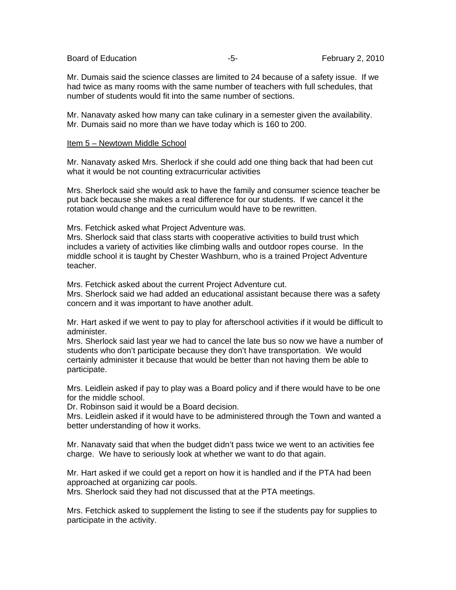Board of Education **-5-** February 2, 2010

Mr. Dumais said the science classes are limited to 24 because of a safety issue. If we had twice as many rooms with the same number of teachers with full schedules, that number of students would fit into the same number of sections.

Mr. Nanavaty asked how many can take culinary in a semester given the availability. Mr. Dumais said no more than we have today which is 160 to 200.

#### Item 5 – Newtown Middle School

Mr. Nanavaty asked Mrs. Sherlock if she could add one thing back that had been cut what it would be not counting extracurricular activities

Mrs. Sherlock said she would ask to have the family and consumer science teacher be put back because she makes a real difference for our students. If we cancel it the rotation would change and the curriculum would have to be rewritten.

Mrs. Fetchick asked what Project Adventure was.

Mrs. Sherlock said that class starts with cooperative activities to build trust which includes a variety of activities like climbing walls and outdoor ropes course. In the middle school it is taught by Chester Washburn, who is a trained Project Adventure teacher.

Mrs. Fetchick asked about the current Project Adventure cut.

Mrs. Sherlock said we had added an educational assistant because there was a safety concern and it was important to have another adult.

Mr. Hart asked if we went to pay to play for afterschool activities if it would be difficult to administer.

Mrs. Sherlock said last year we had to cancel the late bus so now we have a number of students who don't participate because they don't have transportation. We would certainly administer it because that would be better than not having them be able to participate.

Mrs. Leidlein asked if pay to play was a Board policy and if there would have to be one for the middle school.

Dr. Robinson said it would be a Board decision.

Mrs. Leidlein asked if it would have to be administered through the Town and wanted a better understanding of how it works.

Mr. Nanavaty said that when the budget didn't pass twice we went to an activities fee charge. We have to seriously look at whether we want to do that again.

Mr. Hart asked if we could get a report on how it is handled and if the PTA had been approached at organizing car pools.

Mrs. Sherlock said they had not discussed that at the PTA meetings.

Mrs. Fetchick asked to supplement the listing to see if the students pay for supplies to participate in the activity.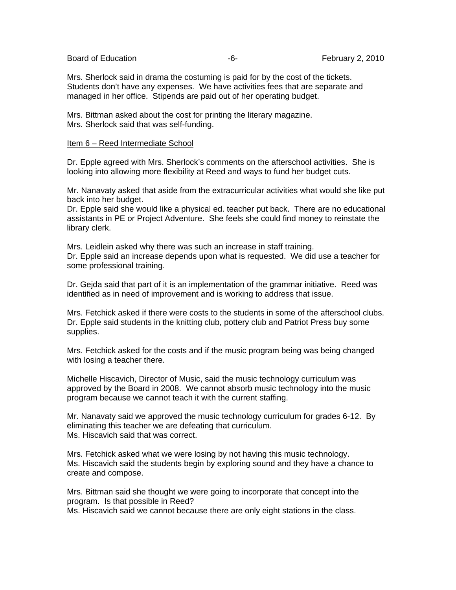Board of Education **Francisco Community** Control Control of Education **February 2, 2010** 

Mrs. Sherlock said in drama the costuming is paid for by the cost of the tickets. Students don't have any expenses. We have activities fees that are separate and managed in her office. Stipends are paid out of her operating budget.

Mrs. Bittman asked about the cost for printing the literary magazine. Mrs. Sherlock said that was self-funding.

#### Item 6 – Reed Intermediate School

Dr. Epple agreed with Mrs. Sherlock's comments on the afterschool activities. She is looking into allowing more flexibility at Reed and ways to fund her budget cuts.

Mr. Nanavaty asked that aside from the extracurricular activities what would she like put back into her budget.

Dr. Epple said she would like a physical ed. teacher put back. There are no educational assistants in PE or Project Adventure. She feels she could find money to reinstate the library clerk.

Mrs. Leidlein asked why there was such an increase in staff training. Dr. Epple said an increase depends upon what is requested. We did use a teacher for some professional training.

Dr. Gejda said that part of it is an implementation of the grammar initiative. Reed was identified as in need of improvement and is working to address that issue.

Mrs. Fetchick asked if there were costs to the students in some of the afterschool clubs. Dr. Epple said students in the knitting club, pottery club and Patriot Press buy some supplies.

Mrs. Fetchick asked for the costs and if the music program being was being changed with losing a teacher there.

Michelle Hiscavich, Director of Music, said the music technology curriculum was approved by the Board in 2008. We cannot absorb music technology into the music program because we cannot teach it with the current staffing.

Mr. Nanavaty said we approved the music technology curriculum for grades 6-12. By eliminating this teacher we are defeating that curriculum. Ms. Hiscavich said that was correct.

Mrs. Fetchick asked what we were losing by not having this music technology. Ms. Hiscavich said the students begin by exploring sound and they have a chance to create and compose.

Mrs. Bittman said she thought we were going to incorporate that concept into the program. Is that possible in Reed?

Ms. Hiscavich said we cannot because there are only eight stations in the class.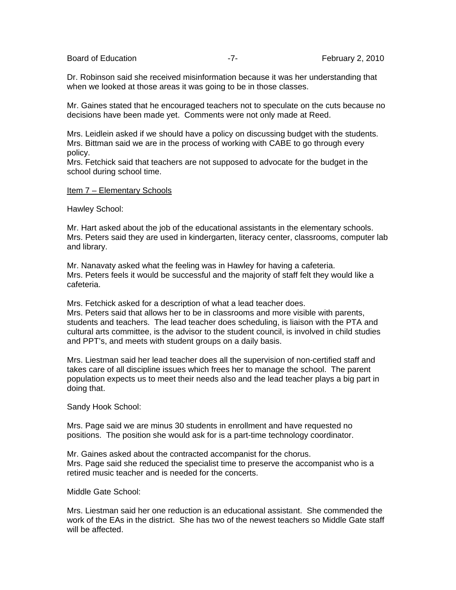Board of Education **Example 2, 2010** -7- February 2, 2010

Dr. Robinson said she received misinformation because it was her understanding that when we looked at those areas it was going to be in those classes.

Mr. Gaines stated that he encouraged teachers not to speculate on the cuts because no decisions have been made yet. Comments were not only made at Reed.

Mrs. Leidlein asked if we should have a policy on discussing budget with the students. Mrs. Bittman said we are in the process of working with CABE to go through every policy.

Mrs. Fetchick said that teachers are not supposed to advocate for the budget in the school during school time.

#### Item 7 – Elementary Schools

Hawley School:

Mr. Hart asked about the job of the educational assistants in the elementary schools. Mrs. Peters said they are used in kindergarten, literacy center, classrooms, computer lab and library.

Mr. Nanavaty asked what the feeling was in Hawley for having a cafeteria. Mrs. Peters feels it would be successful and the majority of staff felt they would like a cafeteria.

Mrs. Fetchick asked for a description of what a lead teacher does. Mrs. Peters said that allows her to be in classrooms and more visible with parents, students and teachers. The lead teacher does scheduling, is liaison with the PTA and cultural arts committee, is the advisor to the student council, is involved in child studies and PPT's, and meets with student groups on a daily basis.

Mrs. Liestman said her lead teacher does all the supervision of non-certified staff and takes care of all discipline issues which frees her to manage the school. The parent population expects us to meet their needs also and the lead teacher plays a big part in doing that.

Sandy Hook School:

Mrs. Page said we are minus 30 students in enrollment and have requested no positions. The position she would ask for is a part-time technology coordinator.

Mr. Gaines asked about the contracted accompanist for the chorus. Mrs. Page said she reduced the specialist time to preserve the accompanist who is a retired music teacher and is needed for the concerts.

Middle Gate School:

Mrs. Liestman said her one reduction is an educational assistant. She commended the work of the EAs in the district. She has two of the newest teachers so Middle Gate staff will be affected.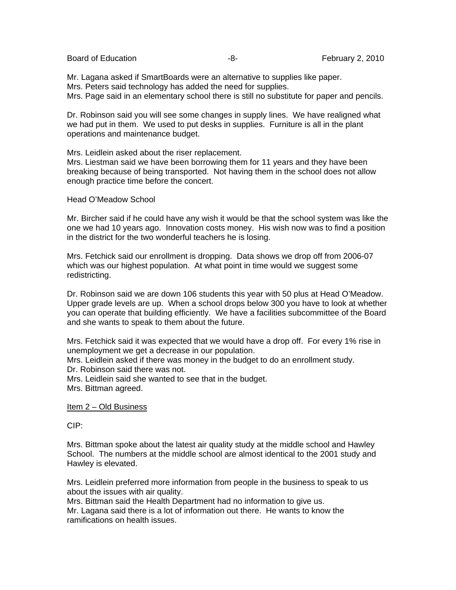Board of Education **-8-** February 2, 2010

Mr. Lagana asked if SmartBoards were an alternative to supplies like paper. Mrs. Peters said technology has added the need for supplies. Mrs. Page said in an elementary school there is still no substitute for paper and pencils.

Dr. Robinson said you will see some changes in supply lines. We have realigned what we had put in them. We used to put desks in supplies. Furniture is all in the plant operations and maintenance budget.

Mrs. Leidlein asked about the riser replacement.

Mrs. Liestman said we have been borrowing them for 11 years and they have been breaking because of being transported. Not having them in the school does not allow enough practice time before the concert.

#### Head O'Meadow School

Mr. Bircher said if he could have any wish it would be that the school system was like the one we had 10 years ago. Innovation costs money. His wish now was to find a position in the district for the two wonderful teachers he is losing.

Mrs. Fetchick said our enrollment is dropping. Data shows we drop off from 2006-07 which was our highest population. At what point in time would we suggest some redistricting.

Dr. Robinson said we are down 106 students this year with 50 plus at Head O'Meadow. Upper grade levels are up. When a school drops below 300 you have to look at whether you can operate that building efficiently. We have a facilities subcommittee of the Board and she wants to speak to them about the future.

Mrs. Fetchick said it was expected that we would have a drop off. For every 1% rise in unemployment we get a decrease in our population.

Mrs. Leidlein asked if there was money in the budget to do an enrollment study. Dr. Robinson said there was not.

Mrs. Leidlein said she wanted to see that in the budget. Mrs. Bittman agreed.

Item 2 – Old Business

CIP:

Mrs. Bittman spoke about the latest air quality study at the middle school and Hawley School. The numbers at the middle school are almost identical to the 2001 study and Hawley is elevated.

Mrs. Leidlein preferred more information from people in the business to speak to us about the issues with air quality.

Mrs. Bittman said the Health Department had no information to give us.

Mr. Lagana said there is a lot of information out there. He wants to know the ramifications on health issues.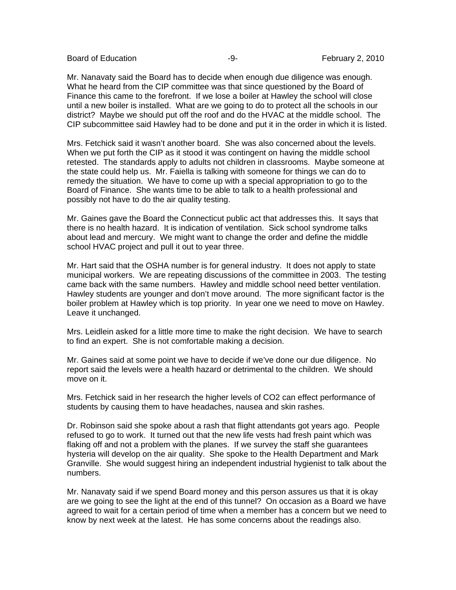Board of Education **-9-** February 2, 2010

Mr. Nanavaty said the Board has to decide when enough due diligence was enough. What he heard from the CIP committee was that since questioned by the Board of Finance this came to the forefront. If we lose a boiler at Hawley the school will close until a new boiler is installed. What are we going to do to protect all the schools in our district? Maybe we should put off the roof and do the HVAC at the middle school. The CIP subcommittee said Hawley had to be done and put it in the order in which it is listed.

Mrs. Fetchick said it wasn't another board. She was also concerned about the levels. When we put forth the CIP as it stood it was contingent on having the middle school retested. The standards apply to adults not children in classrooms. Maybe someone at the state could help us. Mr. Faiella is talking with someone for things we can do to remedy the situation. We have to come up with a special appropriation to go to the Board of Finance. She wants time to be able to talk to a health professional and possibly not have to do the air quality testing.

Mr. Gaines gave the Board the Connecticut public act that addresses this. It says that there is no health hazard. It is indication of ventilation. Sick school syndrome talks about lead and mercury. We might want to change the order and define the middle school HVAC project and pull it out to year three.

Mr. Hart said that the OSHA number is for general industry. It does not apply to state municipal workers. We are repeating discussions of the committee in 2003. The testing came back with the same numbers. Hawley and middle school need better ventilation. Hawley students are younger and don't move around. The more significant factor is the boiler problem at Hawley which is top priority. In year one we need to move on Hawley. Leave it unchanged.

Mrs. Leidlein asked for a little more time to make the right decision. We have to search to find an expert. She is not comfortable making a decision.

Mr. Gaines said at some point we have to decide if we've done our due diligence. No report said the levels were a health hazard or detrimental to the children. We should move on it.

Mrs. Fetchick said in her research the higher levels of CO2 can effect performance of students by causing them to have headaches, nausea and skin rashes.

Dr. Robinson said she spoke about a rash that flight attendants got years ago. People refused to go to work. It turned out that the new life vests had fresh paint which was flaking off and not a problem with the planes. If we survey the staff she guarantees hysteria will develop on the air quality. She spoke to the Health Department and Mark Granville. She would suggest hiring an independent industrial hygienist to talk about the numbers.

Mr. Nanavaty said if we spend Board money and this person assures us that it is okay are we going to see the light at the end of this tunnel? On occasion as a Board we have agreed to wait for a certain period of time when a member has a concern but we need to know by next week at the latest. He has some concerns about the readings also.